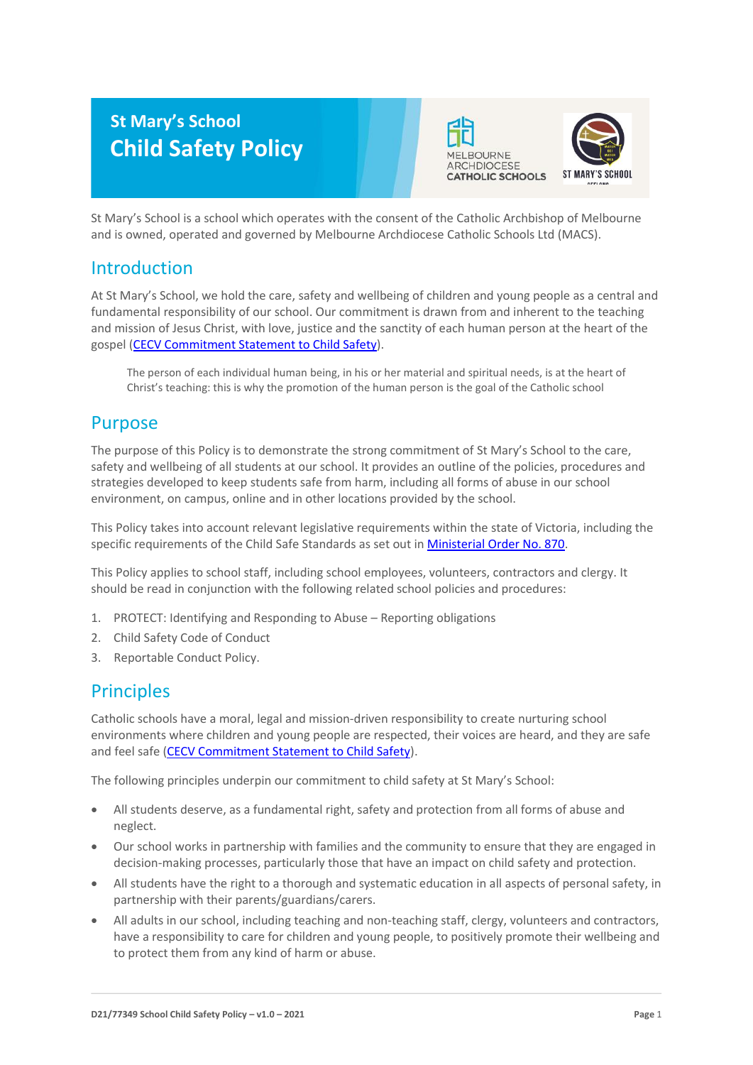# **St Mary's School Child Safety Policy**





St Mary's School is a school which operates with the consent of the Catholic Archbishop of Melbourne and is owned, operated and governed by Melbourne Archdiocese Catholic Schools Ltd (MACS).

## Introduction

At St Mary's School, we hold the care, safety and wellbeing of children and young people as a central and fundamental responsibility of our school. Our commitment is drawn from and inherent to the teaching and mission of Jesus Christ, with love, justice and the sanctity of each human person at the heart of the gospel [\(CECV Commitment Statement to Child Safety\)](https://www.cecv.catholic.edu.au/getmedia/b5d43278-51b9-4704-b45a-f14e50546a70/Commitment-Statement-A4.aspx).

The person of each individual human being, in his or her material and spiritual needs, is at the heart of Christ's teaching: this is why the promotion of the human person is the goal of the Catholic school

## Purpose

The purpose of this Policy is to demonstrate the strong commitment of St Mary's School to the care, safety and wellbeing of all students at our school. It provides an outline of the policies, procedures and strategies developed to keep students safe from harm, including all forms of abuse in our school environment, on campus, online and in other locations provided by the school.

This Policy takes into account relevant legislative requirements within the state of Victoria, including the specific requirements of the Child Safe Standards as set out in [Ministerial Order No. 870.](http://www.gazette.vic.gov.au/gazette/Gazettes2016/GG2016S002.pdf)

This Policy applies to school staff, including school employees, volunteers, contractors and clergy. It should be read in conjunction with the following related school policies and procedures:

- 1. PROTECT: Identifying and Responding to Abuse Reporting obligations
- 2. Child Safety Code of Conduct
- 3. Reportable Conduct Policy.

## **Principles**

Catholic schools have a moral, legal and mission-driven responsibility to create nurturing school environments where children and young people are respected, their voices are heard, and they are safe and feel safe [\(CECV Commitment Statement to Child Safety\)](https://www.cecv.catholic.edu.au/getmedia/b5d43278-51b9-4704-b45a-f14e50546a70/Commitment-Statement-A4.aspx).

The following principles underpin our commitment to child safety at St Mary's School:

- All students deserve, as a fundamental right, safety and protection from all forms of abuse and neglect.
- Our school works in partnership with families and the community to ensure that they are engaged in decision-making processes, particularly those that have an impact on child safety and protection.
- All students have the right to a thorough and systematic education in all aspects of personal safety, in partnership with their parents/guardians/carers.
- All adults in our school, including teaching and non-teaching staff, clergy, volunteers and contractors, have a responsibility to care for children and young people, to positively promote their wellbeing and to protect them from any kind of harm or abuse.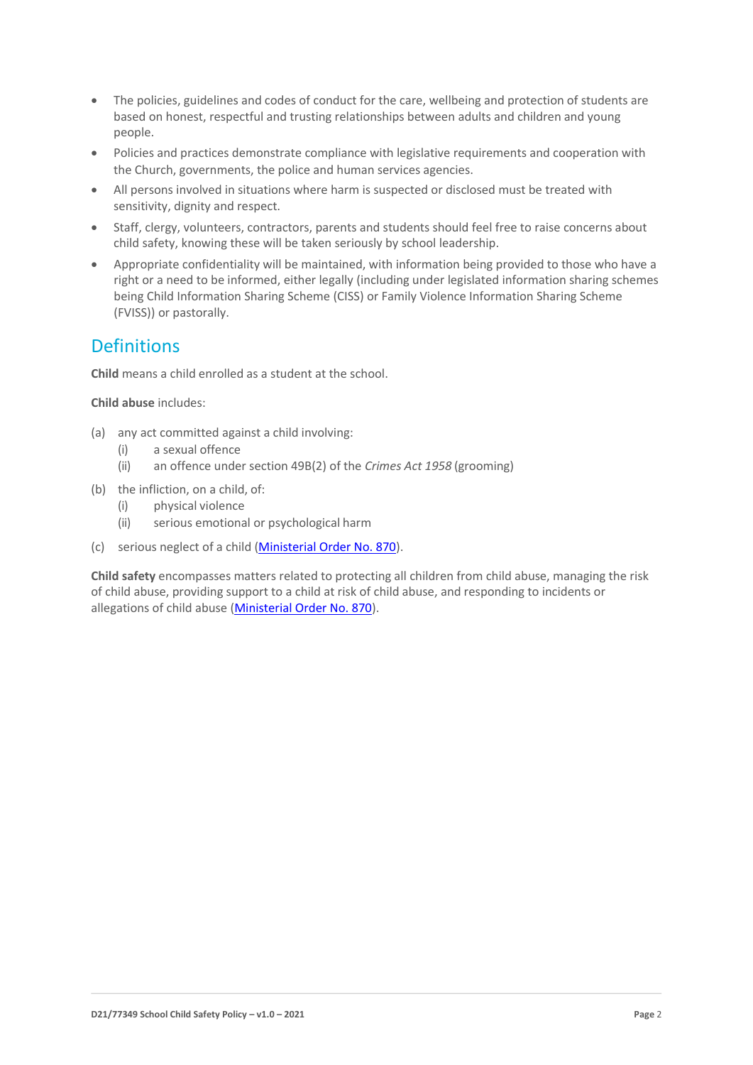- The policies, guidelines and codes of conduct for the care, wellbeing and protection of students are based on honest, respectful and trusting relationships between adults and children and young people.
- Policies and practices demonstrate compliance with legislative requirements and cooperation with the Church, governments, the police and human services agencies.
- All persons involved in situations where harm is suspected or disclosed must be treated with sensitivity, dignity and respect.
- Staff, clergy, volunteers, contractors, parents and students should feel free to raise concerns about child safety, knowing these will be taken seriously by school leadership.
- Appropriate confidentiality will be maintained, with information being provided to those who have a right or a need to be informed, either legally (including under legislated information sharing schemes being Child Information Sharing Scheme (CISS) or Family Violence Information Sharing Scheme (FVISS)) or pastorally.

## **Definitions**

**Child** means a child enrolled as a student at the school.

**Child abuse** includes:

- (a) any act committed against a child involving:
	- (i) a sexual offence
	- (ii) an offence under section 49B(2) of the *Crimes Act 1958* (grooming)
- (b) the infliction, on a child, of:
	- (i) physical violence
	- (ii) serious emotional or psychological harm
- (c) serious neglect of a child [\(Ministerial Order No. 870\)](http://www.gazette.vic.gov.au/gazette/Gazettes2016/GG2016S002.pdf).

**Child safety** encompasses matters related to protecting all children from child abuse, managing the risk of child abuse, providing support to a child at risk of child abuse, and responding to incidents or allegations of child abuse [\(Ministerial Order No. 870\)](http://www.gazette.vic.gov.au/gazette/Gazettes2016/GG2016S002.pdf).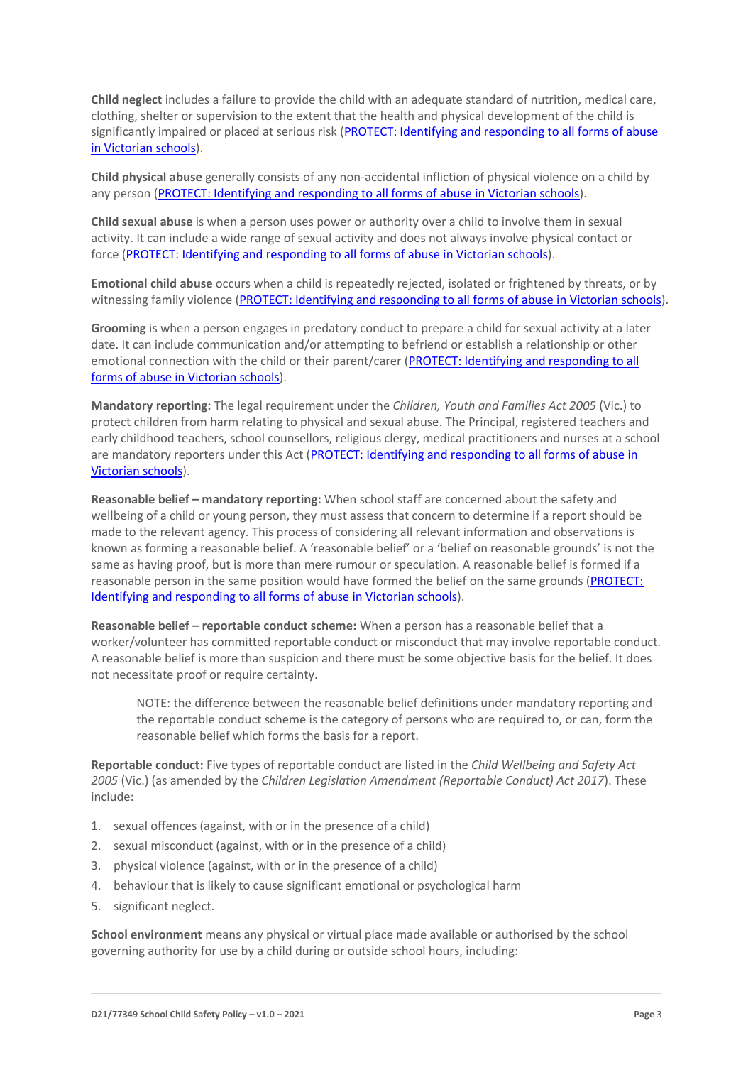**Child neglect** includes a failure to provide the child with an adequate standard of nutrition, medical care, clothing, shelter or supervision to the extent that the health and physical development of the child is significantly impaired or placed at serious risk [\(PROTECT: Identifying and responding to all forms of abuse](http://www.cecv.catholic.edu.au/getmedia/ebe135a4-d1b3-48a0-81fe-50d4fc451bcd/Identifying-and-Responding-to-All-Forms-of-Abuse.aspx#page%3D27)  [in Victorian schools\)](http://www.cecv.catholic.edu.au/getmedia/ebe135a4-d1b3-48a0-81fe-50d4fc451bcd/Identifying-and-Responding-to-All-Forms-of-Abuse.aspx#page%3D27).

**Child physical abuse** generally consists of any non-accidental infliction of physical violence on a child by any person [\(PROTECT: Identifying and responding to all forms of abuse in Victorian schools\)](https://www.cecv.catholic.edu.au/getmedia/ebe135a4-d1b3-48a0-81fe-50d4fc451bcd/Identifying-and-Responding-to-All-Forms-of-Abuse.aspx#page%3D15).

**Child sexual abuse** is when a person uses power or authority over a child to involve them in sexual activity. It can include a wide range of sexual activity and does not always involve physical contact or force [\(PROTECT: Identifying and responding to all forms of abuse in Victorian schools\)](https://www.cecv.catholic.edu.au/getmedia/ebe135a4-d1b3-48a0-81fe-50d4fc451bcd/Identifying-and-Responding-to-All-Forms-of-Abuse.aspx#page%3D17).

**Emotional child abuse** occurs when a child is repeatedly rejected, isolated or frightened by threats, or by witnessing family violence [\(PROTECT: Identifying and responding to all forms of abuse in Victorian schools\)](https://www.cecv.catholic.edu.au/getmedia/ebe135a4-d1b3-48a0-81fe-50d4fc451bcd/Identifying-and-Responding-to-All-Forms-of-Abuse.aspx#page%3D26).

**Grooming** is when a person engages in predatory conduct to prepare a child for sexual activity at a later date. It can include communication and/or attempting to befriend or establish a relationship or other emotional connection with the child or their parent/carer [\(PROTECT: Identifying and responding to all](https://www.cecv.catholic.edu.au/getmedia/ebe135a4-d1b3-48a0-81fe-50d4fc451bcd/Identifying-and-Responding-to-All-Forms-of-Abuse.aspx#page%3D20)  [forms of abuse in Victorian schools\)](https://www.cecv.catholic.edu.au/getmedia/ebe135a4-d1b3-48a0-81fe-50d4fc451bcd/Identifying-and-Responding-to-All-Forms-of-Abuse.aspx#page%3D20).

**Mandatory reporting:** The legal requirement under the *Children, Youth and Families Act 2005* (Vic.) to protect children from harm relating to physical and sexual abuse. The Principal, registered teachers and early childhood teachers, school counsellors, religious clergy, medical practitioners and nurses at a school are mandatory reporters under this Act [\(PROTECT: Identifying and responding to all forms of abuse in](http://www.cecv.catholic.edu.au/getmedia/ebe135a4-d1b3-48a0-81fe-50d4fc451bcd/Identifying-and-Responding-to-All-Forms-of-Abuse.aspx#page%3D8)  [Victorian schools\)](http://www.cecv.catholic.edu.au/getmedia/ebe135a4-d1b3-48a0-81fe-50d4fc451bcd/Identifying-and-Responding-to-All-Forms-of-Abuse.aspx#page%3D8).

**Reasonable belief – mandatory reporting:** When school staff are concerned about the safety and wellbeing of a child or young person, they must assess that concern to determine if a report should be made to the relevant agency. This process of considering all relevant information and observations is known as forming a reasonable belief. A 'reasonable belief' or a 'belief on reasonable grounds' is not the same as having proof, but is more than mere rumour or speculation. A reasonable belief is formed if a reasonable person in the same position would have formed the belief on the same grounds [\(PROTECT:](http://www.cecv.catholic.edu.au/getmedia/ebe135a4-d1b3-48a0-81fe-50d4fc451bcd/Identifying-and-Responding-to-All-Forms-of-Abuse.aspx#page%3D35)  [Identifying and responding to all forms of abuse in Victorian schools\)](http://www.cecv.catholic.edu.au/getmedia/ebe135a4-d1b3-48a0-81fe-50d4fc451bcd/Identifying-and-Responding-to-All-Forms-of-Abuse.aspx#page%3D35).

**Reasonable belief – reportable conduct scheme:** When a person has a reasonable belief that a worker/volunteer has committed reportable conduct or misconduct that may involve reportable conduct. A reasonable belief is more than suspicion and there must be some objective basis for the belief. It does not necessitate proof or require certainty.

NOTE: the difference between the reasonable belief definitions under mandatory reporting and the reportable conduct scheme is the category of persons who are required to, or can, form the reasonable belief which forms the basis for a report.

**Reportable conduct:** Five types of reportable conduct are listed in the *Child Wellbeing and Safety Act 2005* (Vic.) (as amended by the *Children Legislation Amendment (Reportable Conduct) Act 2017*). These include:

- 1. sexual offences (against, with or in the presence of a child)
- 2. sexual misconduct (against, with or in the presence of a child)
- 3. physical violence (against, with or in the presence of a child)
- 4. behaviour that is likely to cause significant emotional or psychological harm
- 5. significant neglect.

**School environment** means any physical or virtual place made available or authorised by the school governing authority for use by a child during or outside school hours, including: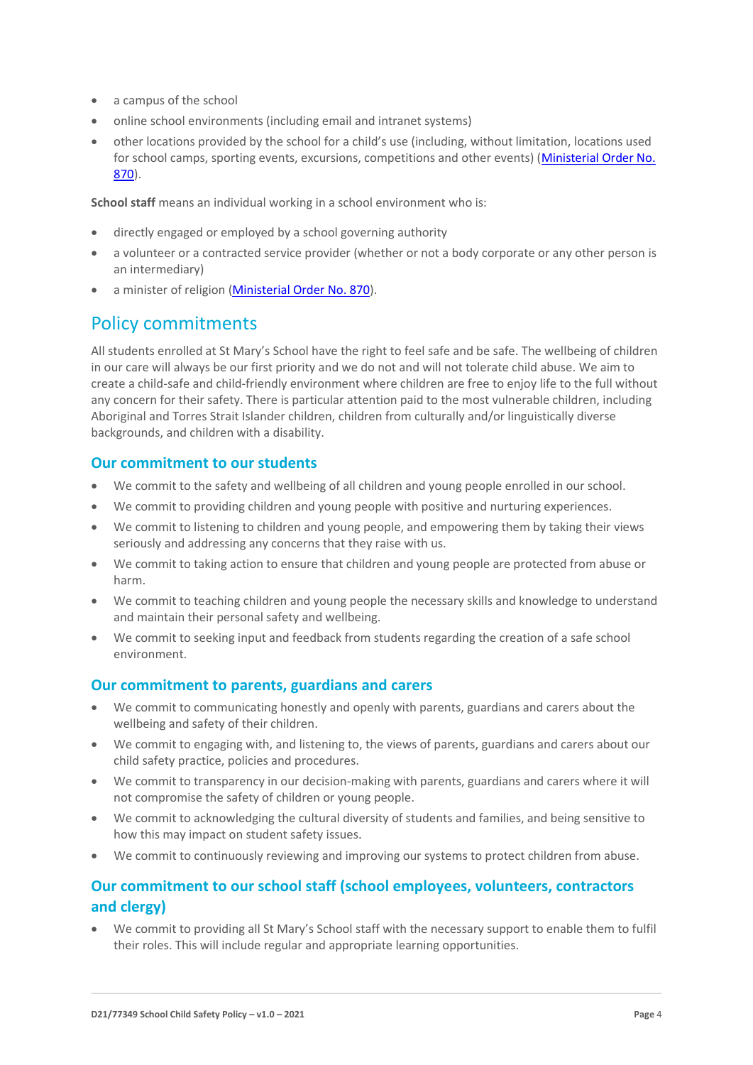- a campus of the school
- online school environments (including email and intranet systems)
- other locations provided by the school for a child's use (including, without limitation, locations used for school camps, sporting events, excursions, competitions and other events) (Ministerial Order No. [870\)](http://www.gazette.vic.gov.au/gazette/Gazettes2016/GG2016S002.pdf).

**School staff** means an individual working in a school environment who is:

- directly engaged or employed by a school governing authority
- a volunteer or a contracted service provider (whether or not a body corporate or any other person is an intermediary)
- a minister of religio[n \(Ministerial Order No. 870\)](http://www.gazette.vic.gov.au/gazette/Gazettes2016/GG2016S002.pdf).

# Policy commitments

All students enrolled at St Mary's School have the right to feel safe and be safe. The wellbeing of children in our care will always be our first priority and we do not and will not tolerate child abuse. We aim to create a child-safe and child-friendly environment where children are free to enjoy life to the full without any concern for their safety. There is particular attention paid to the most vulnerable children, including Aboriginal and Torres Strait Islander children, children from culturally and/or linguistically diverse backgrounds, and children with a disability.

### **Our commitment to our students**

- We commit to the safety and wellbeing of all children and young people enrolled in our school.
- We commit to providing children and young people with positive and nurturing experiences.
- We commit to listening to children and young people, and empowering them by taking their views seriously and addressing any concerns that they raise with us.
- We commit to taking action to ensure that children and young people are protected from abuse or harm.
- We commit to teaching children and young people the necessary skills and knowledge to understand and maintain their personal safety and wellbeing.
- We commit to seeking input and feedback from students regarding the creation of a safe school environment.

### **Our commitment to parents, guardians and carers**

- We commit to communicating honestly and openly with parents, guardians and carers about the wellbeing and safety of their children.
- We commit to engaging with, and listening to, the views of parents, guardians and carers about our child safety practice, policies and procedures.
- We commit to transparency in our decision-making with parents, guardians and carers where it will not compromise the safety of children or young people.
- We commit to acknowledging the cultural diversity of students and families, and being sensitive to how this may impact on student safety issues.
- We commit to continuously reviewing and improving our systems to protect children from abuse.

## **Our commitment to our school staff (school employees, volunteers, contractors and clergy)**

• We commit to providing all St Mary's School staff with the necessary support to enable them to fulfil their roles. This will include regular and appropriate learning opportunities.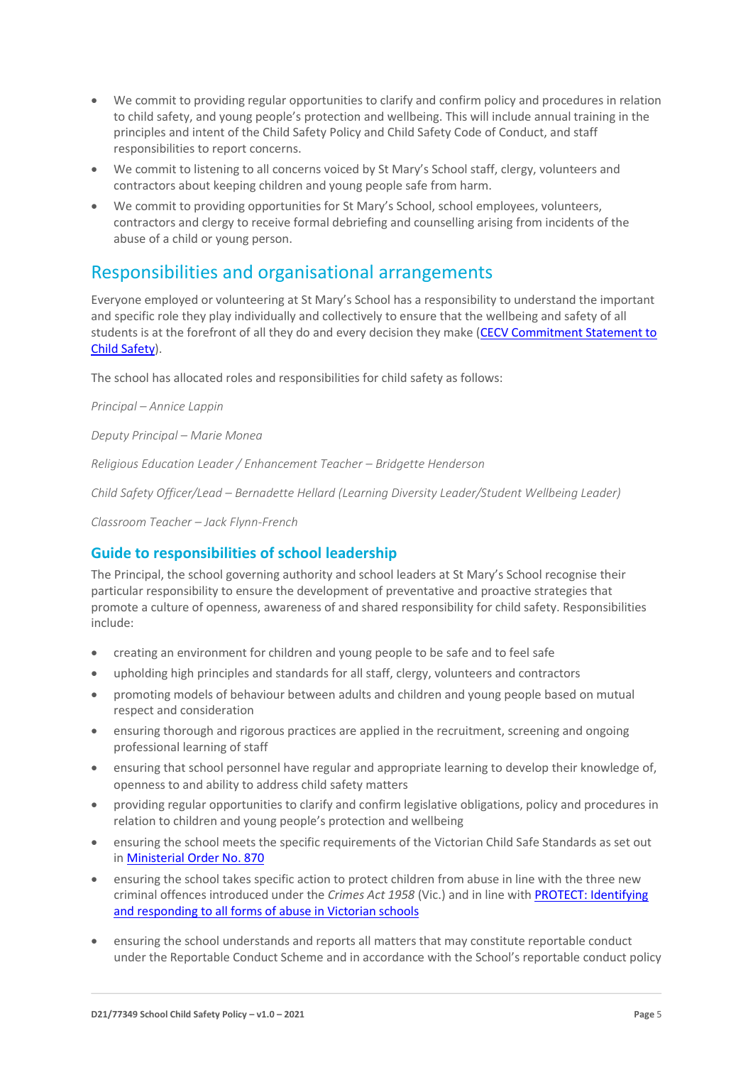- We commit to providing regular opportunities to clarify and confirm policy and procedures in relation to child safety, and young people's protection and wellbeing. This will include annual training in the principles and intent of the Child Safety Policy and Child Safety Code of Conduct, and staff responsibilities to report concerns.
- We commit to listening to all concerns voiced by St Mary's School staff, clergy, volunteers and contractors about keeping children and young people safe from harm.
- We commit to providing opportunities for St Mary's School, school employees, volunteers, contractors and clergy to receive formal debriefing and counselling arising from incidents of the abuse of a child or young person.

# Responsibilities and organisational arrangements

Everyone employed or volunteering at St Mary's School has a responsibility to understand the important and specific role they play individually and collectively to ensure that the wellbeing and safety of all students is at the forefront of all they do and every decision they make [\(CECV Commitment Statement to](https://www.cecv.catholic.edu.au/getmedia/b5d43278-51b9-4704-b45a-f14e50546a70/Commitment-Statement-A4.aspx)  [Child Safety\)](https://www.cecv.catholic.edu.au/getmedia/b5d43278-51b9-4704-b45a-f14e50546a70/Commitment-Statement-A4.aspx).

The school has allocated roles and responsibilities for child safety as follows:

*Principal – Annice Lappin*

*Deputy Principal – Marie Monea*

*Religious Education Leader / Enhancement Teacher – Bridgette Henderson*

*Child Safety Officer/Lead – Bernadette Hellard (Learning Diversity Leader/Student Wellbeing Leader)*

*Classroom Teacher – Jack Flynn-French*

## **Guide to responsibilities of school leadership**

The Principal, the school governing authority and school leaders at St Mary's School recognise their particular responsibility to ensure the development of preventative and proactive strategies that promote a culture of openness, awareness of and shared responsibility for child safety. Responsibilities include:

- creating an environment for children and young people to be safe and to feel safe
- upholding high principles and standards for all staff, clergy, volunteers and contractors
- promoting models of behaviour between adults and children and young people based on mutual respect and consideration
- ensuring thorough and rigorous practices are applied in the recruitment, screening and ongoing professional learning of staff
- ensuring that school personnel have regular and appropriate learning to develop their knowledge of, openness to and ability to address child safety matters
- providing regular opportunities to clarify and confirm legislative obligations, policy and procedures in relation to children and young people's protection and wellbeing
- ensuring the school meets the specific requirements of the Victorian Child Safe Standards as set out in [Ministerial Order No. 870](http://www.gazette.vic.gov.au/gazette/Gazettes2016/GG2016S002.pdf)
- ensuring the school takes specific action to protect children from abuse in line with the three new criminal offences introduced under the *Crimes Act 1958* (Vic.) and in line wit[h PROTECT: Identifying](http://www.cecv.catholic.edu.au/getmedia/ebe135a4-d1b3-48a0-81fe-50d4fc451bcd/Identifying-and-Responding-to-All-Forms-of-Abuse.aspx)  [and responding to all forms of abuse in Victorian schools](http://www.cecv.catholic.edu.au/getmedia/ebe135a4-d1b3-48a0-81fe-50d4fc451bcd/Identifying-and-Responding-to-All-Forms-of-Abuse.aspx)
- ensuring the school understands and reports all matters that may constitute reportable conduct under the Reportable Conduct Scheme and in accordance with the School's reportable conduct policy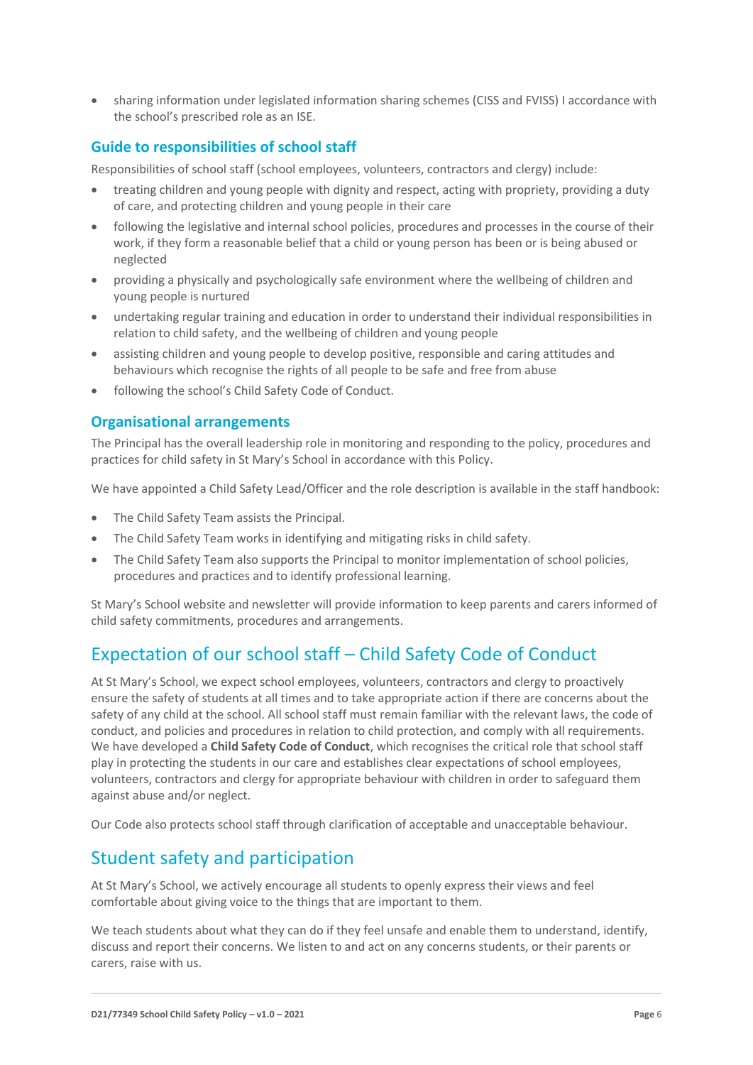• sharing information under legislated information sharing schemes (CISS and FVISS) I accordance with the school's prescribed role as an ISE.

### **Guide to responsibilities of school staff**

Responsibilities of school staff (school employees, volunteers, contractors and clergy) include:

- treating children and young people with dignity and respect, acting with propriety, providing a duty of care, and protecting children and young people in their care
- following the legislative and internal school policies, procedures and processes in the course of their work, if they form a reasonable belief that a child or young person has been or is being abused or neglected
- providing a physically and psychologically safe environment where the wellbeing of children and young people is nurtured
- undertaking regular training and education in order to understand their individual responsibilities in relation to child safety, and the wellbeing of children and young people
- assisting children and young people to develop positive, responsible and caring attitudes and behaviours which recognise the rights of all people to be safe and free from abuse
- following the school's Child Safety Code of Conduct.

### **Organisational arrangements**

The Principal has the overall leadership role in monitoring and responding to the policy, procedures and practices for child safety in St Mary's School in accordance with this Policy.

We have appointed a Child Safety Lead/Officer and the role description is available in the staff handbook:

- The Child Safety Team assists the Principal.
- The Child Safety Team works in identifying and mitigating risks in child safety.
- The Child Safety Team also supports the Principal to monitor implementation of school policies, procedures and practices and to identify professional learning.

St Mary's School website and newsletter will provide information to keep parents and carers informed of child safety commitments, procedures and arrangements.

# Expectation of our school staff – Child Safety Code of Conduct

At St Mary's School, we expect school employees, volunteers, contractors and clergy to proactively ensure the safety of students at all times and to take appropriate action if there are concerns about the safety of any child at the school. All school staff must remain familiar with the relevant laws, the code of conduct, and policies and procedures in relation to child protection, and comply with all requirements. We have developed a **Child Safety Code of Conduct**, which recognises the critical role that school staff play in protecting the students in our care and establishes clear expectations of school employees, volunteers, contractors and clergy for appropriate behaviour with children in order to safeguard them against abuse and/or neglect.

Our Code also protects school staff through clarification of acceptable and unacceptable behaviour.

## Student safety and participation

At St Mary's School, we actively encourage all students to openly express their views and feel comfortable about giving voice to the things that are important to them.

We teach students about what they can do if they feel unsafe and enable them to understand, identify, discuss and report their concerns. We listen to and act on any concerns students, or their parents or carers, raise with us.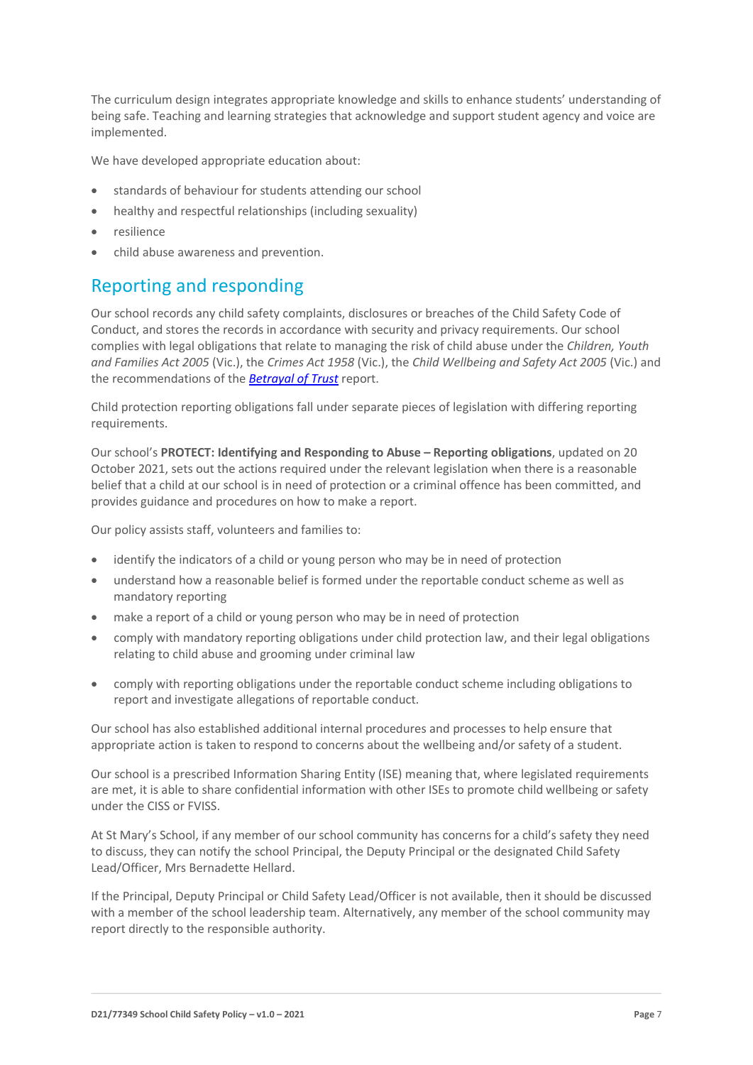The curriculum design integrates appropriate knowledge and skills to enhance students' understanding of being safe. Teaching and learning strategies that acknowledge and support student agency and voice are implemented.

We have developed appropriate education about:

- standards of behaviour for students attending our school
- healthy and respectful relationships (including sexuality)
- resilience
- child abuse awareness and prevention.

# Reporting and responding

Our school records any child safety complaints, disclosures or breaches of the Child Safety Code of Conduct, and stores the records in accordance with security and privacy requirements. Our school complies with legal obligations that relate to managing the risk of child abuse under the *Children, Youth and Families Act 2005* (Vic.), the *Crimes Act 1958* (Vic.), the *Child Wellbeing and Safety Act 2005* (Vic.) and the recommendations of the *[Betrayal of Trust](http://www.parliament.vic.gov.au/fcdc/article/1788)* report.

Child protection reporting obligations fall under separate pieces of legislation with differing reporting requirements.

Our school's **PROTECT: Identifying and Responding to Abuse – Reporting obligations**, updated on 20 October 2021, sets out the actions required under the relevant legislation when there is a reasonable belief that a child at our school is in need of protection or a criminal offence has been committed, and provides guidance and procedures on how to make a report.

Our policy assists staff, volunteers and families to:

- identify the indicators of a child or young person who may be in need of protection
- understand how a reasonable belief is formed under the reportable conduct scheme as well as mandatory reporting
- make a report of a child or young person who may be in need of protection
- comply with mandatory reporting obligations under child protection law, and their legal obligations relating to child abuse and grooming under criminal law
- comply with reporting obligations under the reportable conduct scheme including obligations to report and investigate allegations of reportable conduct.

Our school has also established additional internal procedures and processes to help ensure that appropriate action is taken to respond to concerns about the wellbeing and/or safety of a student.

Our school is a prescribed Information Sharing Entity (ISE) meaning that, where legislated requirements are met, it is able to share confidential information with other ISEs to promote child wellbeing or safety under the CISS or FVISS.

At St Mary's School, if any member of our school community has concerns for a child's safety they need to discuss, they can notify the school Principal, the Deputy Principal or the designated Child Safety Lead/Officer, Mrs Bernadette Hellard.

If the Principal, Deputy Principal or Child Safety Lead/Officer is not available, then it should be discussed with a member of the school leadership team. Alternatively, any member of the school community may report directly to the responsible authority.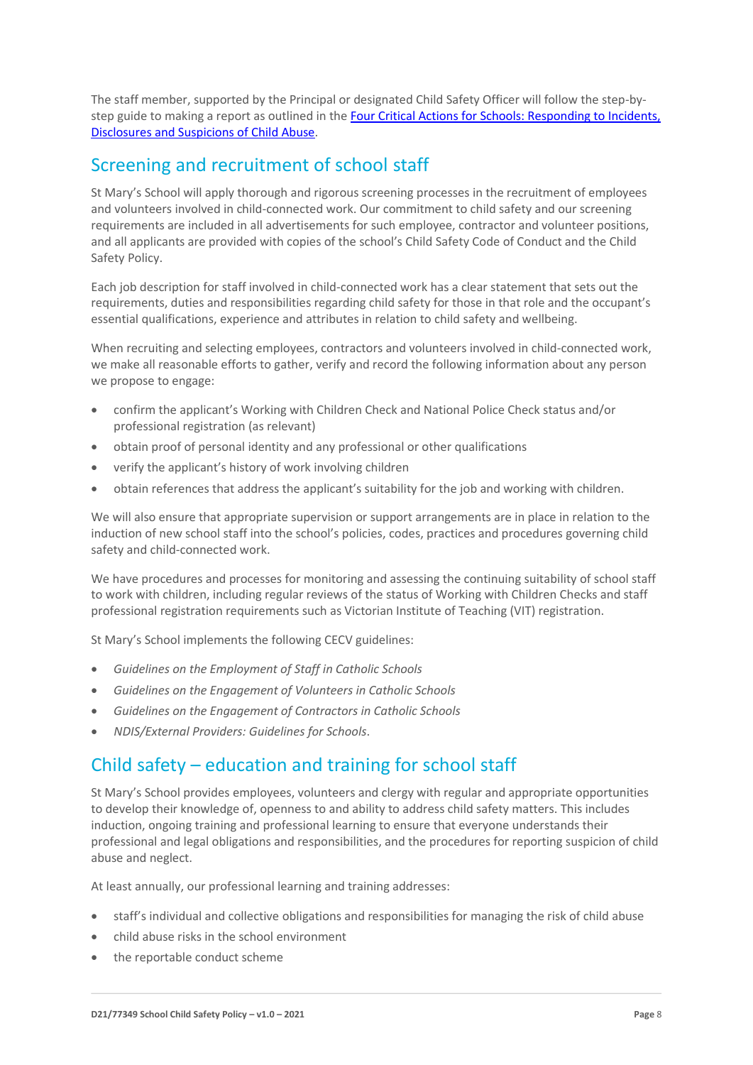The staff member, supported by the Principal or designated Child Safety Officer will follow the step-bystep guide to making a report as outlined in the Four Critical Actions for Schools: Responding to Incidents, [Disclosures and Suspicions of Child Abuse.](https://www.education.vic.gov.au/Documents/about/programs/health/protect/FourCriticalActions_ChildAbuse.pdf)

# Screening and recruitment of school staff

St Mary's School will apply thorough and rigorous screening processes in the recruitment of employees and volunteers involved in child-connected work. Our commitment to child safety and our screening requirements are included in all advertisements for such employee, contractor and volunteer positions, and all applicants are provided with copies of the school's Child Safety Code of Conduct and the Child Safety Policy.

Each job description for staff involved in child-connected work has a clear statement that sets out the requirements, duties and responsibilities regarding child safety for those in that role and the occupant's essential qualifications, experience and attributes in relation to child safety and wellbeing.

When recruiting and selecting employees, contractors and volunteers involved in child-connected work, we make all reasonable efforts to gather, verify and record the following information about any person we propose to engage:

- confirm the applicant's Working with Children Check and National Police Check status and/or professional registration (as relevant)
- obtain proof of personal identity and any professional or other qualifications
- verify the applicant's history of work involving children
- obtain references that address the applicant's suitability for the job and working with children.

We will also ensure that appropriate supervision or support arrangements are in place in relation to the induction of new school staff into the school's policies, codes, practices and procedures governing child safety and child-connected work.

We have procedures and processes for monitoring and assessing the continuing suitability of school staff to work with children, including regular reviews of the status of Working with Children Checks and staff professional registration requirements such as Victorian Institute of Teaching (VIT) registration.

St Mary's School implements the following CECV guidelines:

- *Guidelines on the Employment of Staff in Catholic Schools*
- *Guidelines on the Engagement of Volunteers in Catholic Schools*
- *Guidelines on the Engagement of Contractors in Catholic Schools*
- *NDIS/External Providers: Guidelines for Schools*.

# Child safety – education and training for school staff

St Mary's School provides employees, volunteers and clergy with regular and appropriate opportunities to develop their knowledge of, openness to and ability to address child safety matters. This includes induction, ongoing training and professional learning to ensure that everyone understands their professional and legal obligations and responsibilities, and the procedures for reporting suspicion of child abuse and neglect.

At least annually, our professional learning and training addresses:

- staff's individual and collective obligations and responsibilities for managing the risk of child abuse
- child abuse risks in the school environment
- the reportable conduct scheme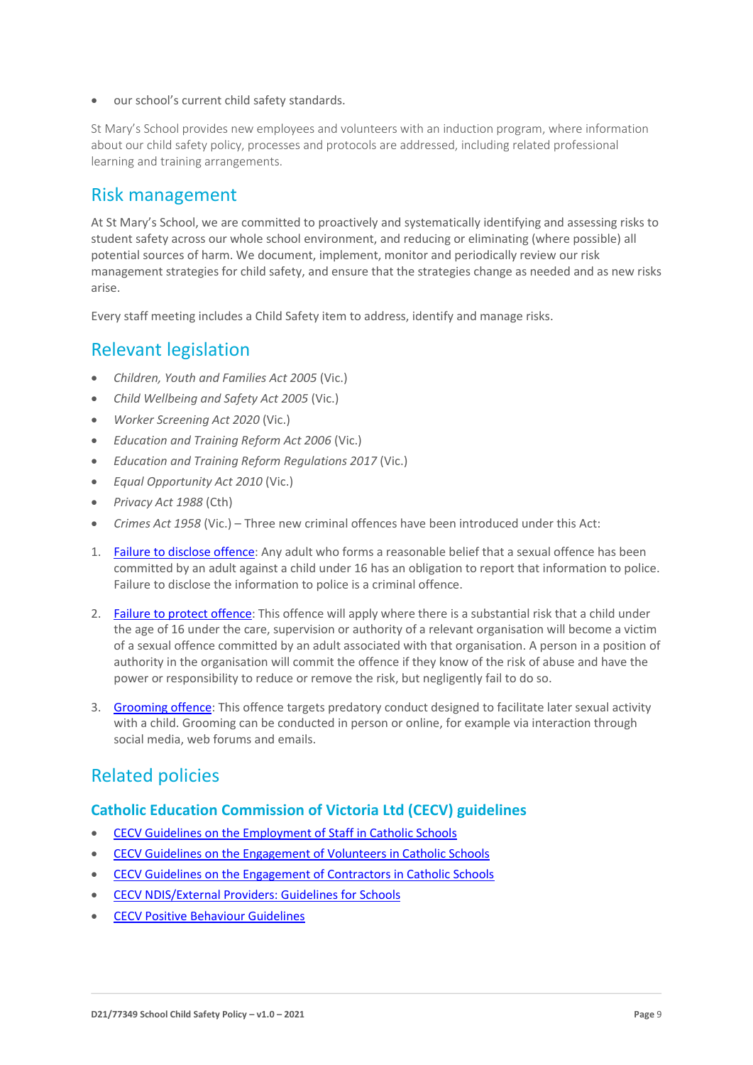• our school's current child safety standards.

St Mary's School provides new employees and volunteers with an induction program, where information about our child safety policy, processes and protocols are addressed, including related professional learning and training arrangements.

## Risk management

At St Mary's School, we are committed to proactively and systematically identifying and assessing risks to student safety across our whole school environment, and reducing or eliminating (where possible) all potential sources of harm. We document, implement, monitor and periodically review our risk management strategies for child safety, and ensure that the strategies change as needed and as new risks arise.

Every staff meeting includes a Child Safety item to address, identify and manage risks.

## Relevant legislation

- *Children, Youth and Families Act 2005* (Vic.)
- *Child Wellbeing and Safety Act 2005* (Vic.)
- *Worker Screening Act 2020* (Vic.)
- *Education and Training Reform Act 2006* (Vic.)
- *Education and Training Reform Regulations 2017* (Vic.)
- *Equal Opportunity Act 2010* (Vic.)
- *Privacy Act 1988* (Cth)
- *Crimes Act 1958* (Vic.) Three new criminal offences have been introduced under this Act:
- 1. [Failure to disclose offence:](https://www.justice.vic.gov.au/safer-communities/protecting-children-and-families/failure-to-disclose-offence#%3A~%3Atext%3DIn%202014%2C%20the%20law%20in%20Victoria%20was%20changed%2Coffended%20against%20a%20child%20under%2016%20in%20Victoria) Any adult who forms a reasonable belief that a sexual offence has been committed by an adult against a child under 16 has an obligation to report that information to police. Failure to disclose the information to police is a criminal offence.
- 2. [Failure to protect offence:](https://www.justice.vic.gov.au/safer-communities/protecting-children-and-families/failure-to-protect-a-new-criminal-offence-to#%3A~%3Atext%3DFailure%20to%20protect%3A%20a%20new%20criminal%20offence%20to%2Cfrom%20sexual%20abuse%20and%20exposure%20to%20sexual%20offenders) This offence will apply where there is a substantial risk that a child under the age of 16 under the care, supervision or authority of a relevant organisation will become a victim of a sexual offence committed by an adult associated with that organisation. A person in a position of authority in the organisation will commit the offence if they know of the risk of abuse and have the power or responsibility to reduce or remove the risk, but negligently fail to do so.
- 3. [Grooming offence:](https://www.justice.vic.gov.au/safer-communities/protecting-children-and-families/grooming-offence) This offence targets predatory conduct designed to facilitate later sexual activity with a child. Grooming can be conducted in person or online, for example via interaction through social media, web forums and emails.

# Related policies

#### **Catholic Education Commission of Victoria Ltd (CECV) guidelines**

- [CECV Guidelines on the Employment of Staff in Catholic Schools](https://www.cecv.catholic.edu.au/getmedia/0393d7fb-2fb9-4e48-a05e-56b703dd62eb/Employment-Guidelines.aspx)
- [CECV Guidelines on the Engagement of Volunteers in Catholic Schools](https://www.cecv.catholic.edu.au/Media-Files/IR/Policies-Guidelines/Volunteers/Guidelines-on-the-Engagement-of-Volunteers.aspx)
- [CECV Guidelines on the Engagement of Contractors in Catholic Schools](https://www.cecv.catholic.edu.au/Media-Files/IR/Policies-Guidelines/Staff,-Contractors,-Volunteers/Contractor-Guidelines.aspx)
- [CECV NDIS/External Providers: Guidelines for Schools](https://www.cecv.catholic.edu.au/getmedia/cec12bdf-5e03-4d3a-ac47-504fe084f415/NDIS-External-Providers-Guidelines.aspx?ext=.pdf)
- [CECV Positive Behaviour Guidelines](https://www.cecv.catholic.edu.au/getmedia/bc1d235d-9a98-4bb4-b3ac-84b50fa7c639/CECV-Positive-Behaviour-Guidelines_FINAL2.aspx?ext=.pdf)